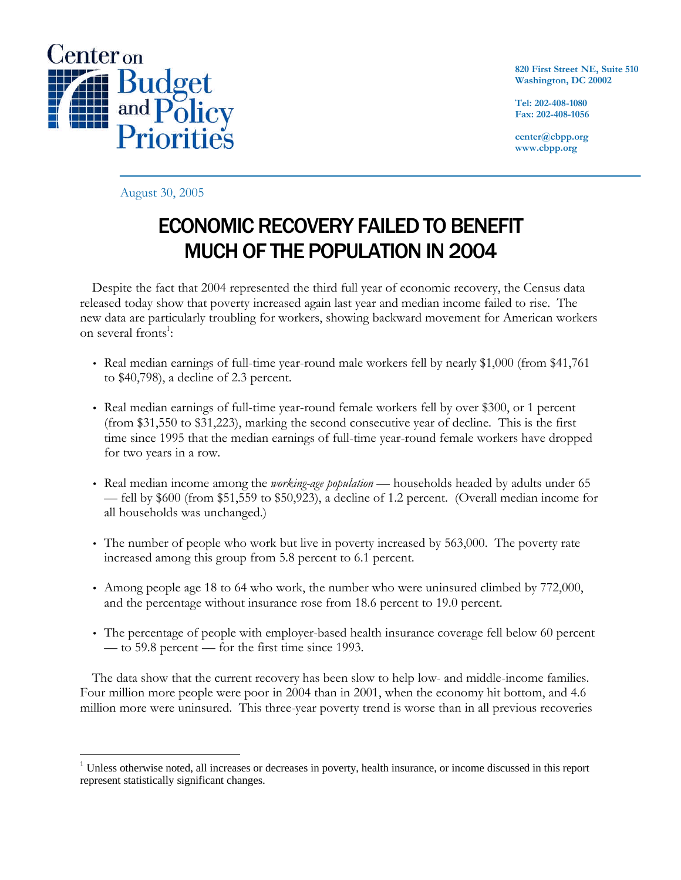

**820 First Street NE, Suite 510 Washington, DC 20002**

**Tel: 202-408-1080 Fax: 202-408-1056**

**center@cbpp.org www.cbpp.org**

August 30, 2005

## **ECONOMIC RECOVERY FAILED TO BENEFIT** MUCH OF THE POPULATION IN 2004

Despite the fact that 2004 represented the third full year of economic recovery, the Census data released today show that poverty increased again last year and median income failed to rise. The new data are particularly troubling for workers, showing backward movement for American workers on several fronts<sup>1</sup>:

- Real median earnings of full-time year-round male workers fell by nearly \$1,000 (from \$41,761 to \$40,798), a decline of 2.3 percent.
- Real median earnings of full-time year-round female workers fell by over \$300, or 1 percent (from \$31,550 to \$31,223), marking the second consecutive year of decline. This is the first time since 1995 that the median earnings of full-time year-round female workers have dropped for two years in a row.
- Real median income among the *working-age population* households headed by adults under 65 — fell by \$600 (from \$51,559 to \$50,923), a decline of 1.2 percent. (Overall median income for all households was unchanged.)
- The number of people who work but live in poverty increased by 563,000. The poverty rate increased among this group from 5.8 percent to 6.1 percent.
- Among people age 18 to 64 who work, the number who were uninsured climbed by 772,000, and the percentage without insurance rose from 18.6 percent to 19.0 percent.
- The percentage of people with employer-based health insurance coverage fell below 60 percent — to 59.8 percent — for the first time since 1993.

The data show that the current recovery has been slow to help low- and middle-income families. Four million more people were poor in 2004 than in 2001, when the economy hit bottom, and 4.6 million more were uninsured. This three-year poverty trend is worse than in all previous recoveries

 $\overline{a}$ <sup>1</sup> Unless otherwise noted, all increases or decreases in poverty, health insurance, or income discussed in this report represent statistically significant changes.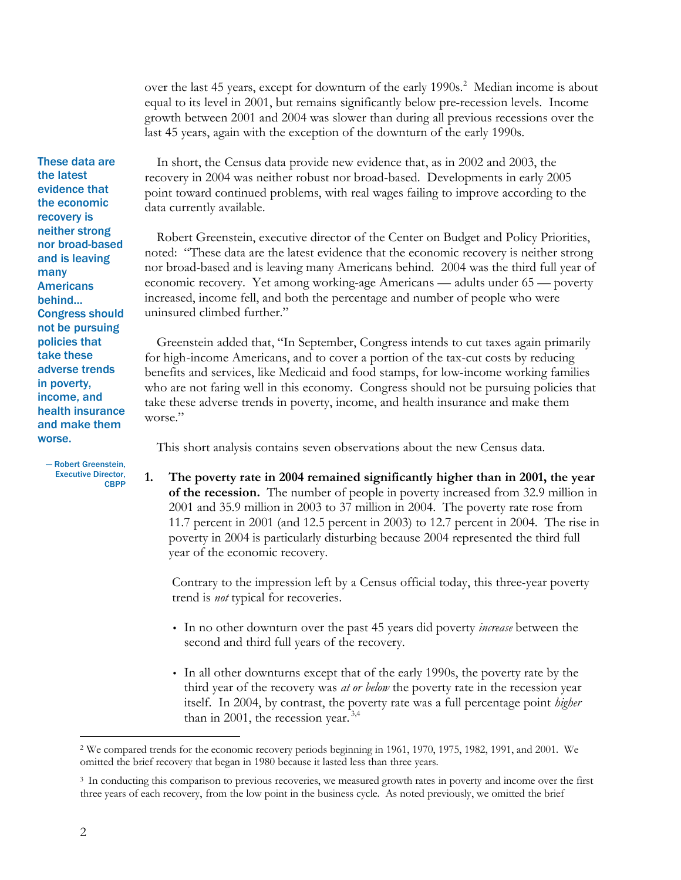over the last 45 years, except for downturn of the early 1990s.<sup>2</sup> Median income is about equal to its level in 2001, but remains significantly below pre-recession levels. Income growth between 2001 and 2004 was slower than during all previous recessions over the last 45 years, again with the exception of the downturn of the early 1990s.

These data are the latest evidence that the economic recovery is neither strong nor broad-based and is leaving many Americans behind… Congress should not be pursuing policies that take these adverse trends in poverty, income, and health insurance and make them worse.

 — Robert Greenstein, Executive Director, CBPP

In short, the Census data provide new evidence that, as in 2002 and 2003, the recovery in 2004 was neither robust nor broad-based. Developments in early 2005 point toward continued problems, with real wages failing to improve according to the data currently available.

Robert Greenstein, executive director of the Center on Budget and Policy Priorities, noted: "These data are the latest evidence that the economic recovery is neither strong nor broad-based and is leaving many Americans behind. 2004 was the third full year of economic recovery. Yet among working-age Americans — adults under 65 — poverty increased, income fell, and both the percentage and number of people who were uninsured climbed further."

Greenstein added that, "In September, Congress intends to cut taxes again primarily for high-income Americans, and to cover a portion of the tax-cut costs by reducing benefits and services, like Medicaid and food stamps, for low-income working families who are not faring well in this economy. Congress should not be pursuing policies that take these adverse trends in poverty, income, and health insurance and make them worse."

This short analysis contains seven observations about the new Census data.

**1. The poverty rate in 2004 remained significantly higher than in 2001, the year of the recession.** The number of people in poverty increased from 32.9 million in 2001 and 35.9 million in 2003 to 37 million in 2004. The poverty rate rose from 11.7 percent in 2001 (and 12.5 percent in 2003) to 12.7 percent in 2004. The rise in poverty in 2004 is particularly disturbing because 2004 represented the third full year of the economic recovery.

Contrary to the impression left by a Census official today, this three-year poverty trend is *not* typical for recoveries.

- In no other downturn over the past 45 years did poverty *increase* between the second and third full years of the recovery.
- In all other downturns except that of the early 1990s, the poverty rate by the third year of the recovery was *at or below* the poverty rate in the recession year itself. In 2004, by contrast, the poverty rate was a full percentage point *higher*  than in 2001, the recession year.  $3,4$

 $\overline{a}$ <sup>2</sup> We compared trends for the economic recovery periods beginning in 1961, 1970, 1975, 1982, 1991, and 2001. We omitted the brief recovery that began in 1980 because it lasted less than three years.

<sup>3</sup> In conducting this comparison to previous recoveries, we measured growth rates in poverty and income over the first three years of each recovery, from the low point in the business cycle. As noted previously, we omitted the brief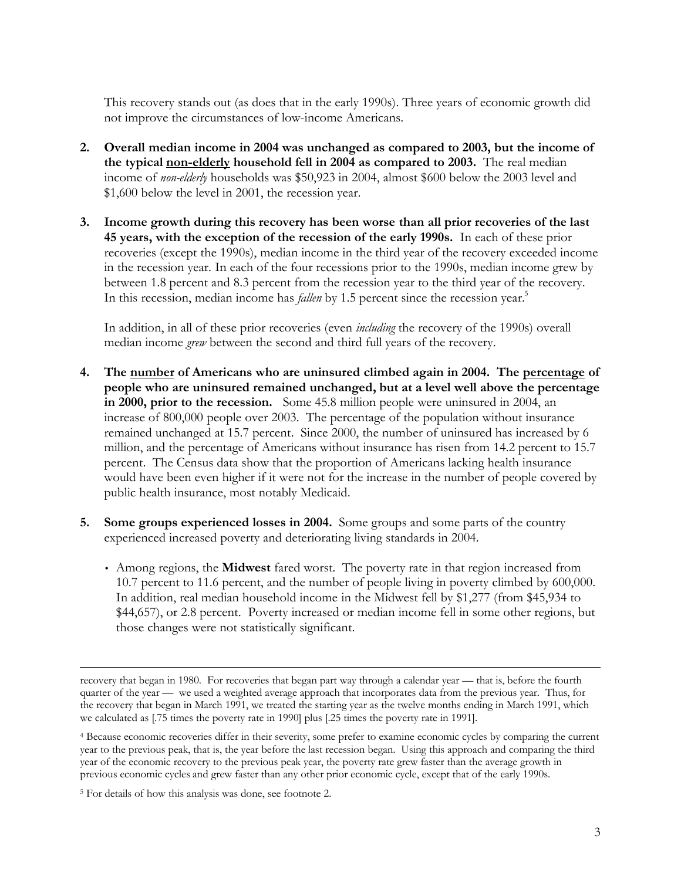This recovery stands out (as does that in the early 1990s). Three years of economic growth did not improve the circumstances of low-income Americans.

- **2. Overall median income in 2004 was unchanged as compared to 2003, but the income of the typical non-elderly household fell in 2004 as compared to 2003.** The real median income of *non-elderly* households was \$50,923 in 2004, almost \$600 below the 2003 level and \$1,600 below the level in 2001, the recession year.
- **3. Income growth during this recovery has been worse than all prior recoveries of the last 45 years, with the exception of the recession of the early 1990s.** In each of these prior recoveries (except the 1990s), median income in the third year of the recovery exceeded income in the recession year. In each of the four recessions prior to the 1990s, median income grew by between 1.8 percent and 8.3 percent from the recession year to the third year of the recovery. In this recession, median income has *fallen* by 1.5 percent since the recession year.<sup>5</sup>

In addition, in all of these prior recoveries (even *including* the recovery of the 1990s) overall median income *grew* between the second and third full years of the recovery.

- **4. The number of Americans who are uninsured climbed again in 2004. The percentage of people who are uninsured remained unchanged, but at a level well above the percentage in 2000, prior to the recession.** Some 45.8 million people were uninsured in 2004, an increase of 800,000 people over 2003. The percentage of the population without insurance remained unchanged at 15.7 percent. Since 2000, the number of uninsured has increased by 6 million, and the percentage of Americans without insurance has risen from 14.2 percent to 15.7 percent. The Census data show that the proportion of Americans lacking health insurance would have been even higher if it were not for the increase in the number of people covered by public health insurance, most notably Medicaid.
- **5. Some groups experienced losses in 2004.** Some groups and some parts of the country experienced increased poverty and deteriorating living standards in 2004.
	- Among regions, the **Midwest** fared worst. The poverty rate in that region increased from 10.7 percent to 11.6 percent, and the number of people living in poverty climbed by 600,000. In addition, real median household income in the Midwest fell by \$1,277 (from \$45,934 to \$44,657), or 2.8 percent. Poverty increased or median income fell in some other regions, but those changes were not statistically significant.

 $\overline{a}$ recovery that began in 1980. For recoveries that began part way through a calendar year — that is, before the fourth quarter of the year — we used a weighted average approach that incorporates data from the previous year. Thus, for the recovery that began in March 1991, we treated the starting year as the twelve months ending in March 1991, which we calculated as [.75 times the poverty rate in 1990] plus [.25 times the poverty rate in 1991].

<sup>4</sup> Because economic recoveries differ in their severity, some prefer to examine economic cycles by comparing the current year to the previous peak, that is, the year before the last recession began. Using this approach and comparing the third year of the economic recovery to the previous peak year, the poverty rate grew faster than the average growth in previous economic cycles and grew faster than any other prior economic cycle, except that of the early 1990s.

<sup>5</sup> For details of how this analysis was done, see footnote 2.